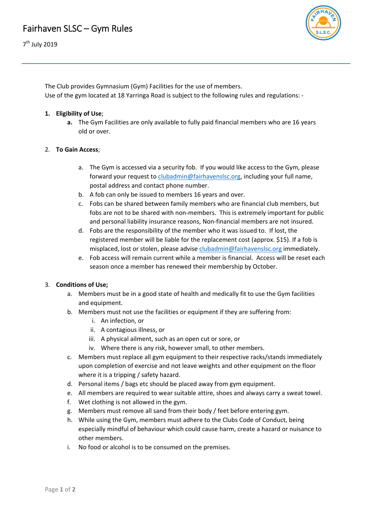

The Club provides Gymnasium (Gym) Facilities for the use of members. Use of the gym located at 18 Yarringa Road is subject to the following rules and regulations: ‐

### **1. Eligibility of Use**;

**a.** The Gym Facilities are only available to fully paid financial members who are 16 years old or over.

### 2. **To Gain Access**;

- a. The Gym is accessed via a security fob. If you would like access to the Gym, please forward your request to clubadmin@fairhavenslsc.org, including your full name, postal address and contact phone number.
- b. A fob can only be issued to members 16 years and over.
- c. Fobs can be shared between family members who are financial club members, but fobs are not to be shared with non-members. This is extremely important for public and personal liability insurance reasons, Non‐financial members are not insured.
- d. Fobs are the responsibility of the member who it was issued to. If lost, the registered member will be liable for the replacement cost (approx. \$15). If a fob is misplaced, lost or stolen, please advise clubadmin@fairhavenslsc.org immediately.
- e. Fob access will remain current while a member is financial. Access will be reset each season once a member has renewed their membership by October.

#### 3. **Conditions of Use;**

- a. Members must be in a good state of health and medically fit to use the Gym facilities and equipment.
- b. Members must not use the facilities or equipment if they are suffering from:
	- i. An infection, or
	- ii. A contagious illness, or
	- iii. A physical ailment, such as an open cut or sore, or
	- iv. Where there is any risk, however small, to other members.
- c. Members must replace all gym equipment to their respective racks/stands immediately upon completion of exercise and not leave weights and other equipment on the floor where it is a tripping / safety hazard.
- d. Personal items / bags etc should be placed away from gym equipment.
- e. All members are required to wear suitable attire, shoes and always carry a sweat towel.
- f. Wet clothing is not allowed in the gym.
- g. Members must remove all sand from their body / feet before entering gym.
- h. While using the Gym, members must adhere to the Clubs Code of Conduct, being especially mindful of behaviour which could cause harm, create a hazard or nuisance to other members.
- i. No food or alcohol is to be consumed on the premises.